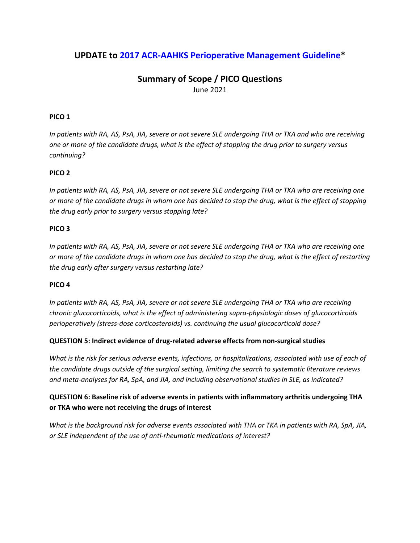## **UPDATE to 2017 [ACR-AAHKS Perioperative Management Guideline\\*](https://www.rheumatology.org/Portals/0/Files/ACR-AAHKS-Perioperative-Management-Guideline.pdf)**

## **Summary of Scope / PICO Questions** June 2021

### **PICO 1**

*In patients with RA, AS, PsA, JIA, severe or not severe SLE undergoing THA or TKA and who are receiving one or more of the candidate drugs, what is the effect of stopping the drug prior to surgery versus continuing?* 

#### **PICO 2**

*In patients with RA, AS, PsA, JIA, severe or not severe SLE undergoing THA or TKA who are receiving one or more of the candidate drugs in whom one has decided to stop the drug, what is the effect of stopping the drug early prior to surgery versus stopping late?* 

#### **PICO 3**

*In patients with RA, AS, PsA, JIA, severe or not severe SLE undergoing THA or TKA who are receiving one or more of the candidate drugs in whom one has decided to stop the drug, what is the effect of restarting the drug early after surgery versus restarting late?* 

#### **PICO 4**

*In patients with RA, AS, PsA, JIA, severe or not severe SLE undergoing THA or TKA who are receiving chronic glucocorticoids, what is the effect of administering supra-physiologic doses of glucocorticoids perioperatively (stress-dose corticosteroids) vs. continuing the usual glucocorticoid dose?* 

#### **QUESTION 5: Indirect evidence of drug-related adverse effects from non-surgical studies**

*What is the risk for serious adverse events, infections, or hospitalizations, associated with use of each of the candidate drugs outside of the surgical setting, limiting the search to systematic literature reviews and meta-analyses for RA, SpA, and JIA, and including observational studies in SLE, as indicated?* 

### **QUESTION 6: Baseline risk of adverse events in patients with inflammatory arthritis undergoing THA or TKA who were not receiving the drugs of interest**

*What is the background risk for adverse events associated with THA or TKA in patients with RA, SpA, JIA, or SLE independent of the use of anti-rheumatic medications of interest?*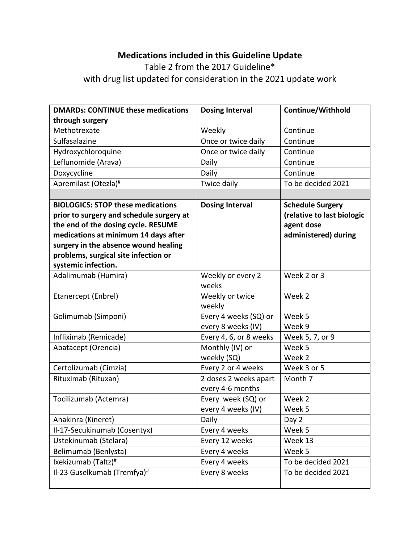# **Medications included in this Guideline Update**

# Table 2 from the 2017 Guideline\* with drug list updated for consideration in the 2021 update work

| <b>DMARDs: CONTINUE these medications</b> | <b>Dosing Interval</b> | Continue/Withhold          |
|-------------------------------------------|------------------------|----------------------------|
| through surgery                           |                        |                            |
| Methotrexate                              | Weekly                 | Continue                   |
| Sulfasalazine                             | Once or twice daily    | Continue                   |
| Hydroxychloroquine                        | Once or twice daily    | Continue                   |
| Leflunomide (Arava)                       | Daily                  | Continue                   |
| Doxycycline                               | Daily                  | Continue                   |
| Apremilast (Otezla) <sup>#</sup>          | Twice daily            | To be decided 2021         |
|                                           |                        |                            |
| <b>BIOLOGICS: STOP these medications</b>  | <b>Dosing Interval</b> | <b>Schedule Surgery</b>    |
| prior to surgery and schedule surgery at  |                        | (relative to last biologic |
| the end of the dosing cycle. RESUME       |                        | agent dose                 |
| medications at minimum 14 days after      |                        | administered) during       |
| surgery in the absence wound healing      |                        |                            |
| problems, surgical site infection or      |                        |                            |
| systemic infection.                       |                        |                            |
| Adalimumab (Humira)                       | Weekly or every 2      | Week 2 or 3                |
|                                           | weeks                  |                            |
| Etanercept (Enbrel)                       | Weekly or twice        | Week 2                     |
|                                           | weekly                 |                            |
| Golimumab (Simponi)                       | Every 4 weeks (SQ) or  | Week 5                     |
|                                           | every 8 weeks (IV)     | Week 9                     |
| Infliximab (Remicade)                     | Every 4, 6, or 8 weeks | Week 5, 7, or 9            |
| Abatacept (Orencia)                       | Monthly (IV) or        | Week 5                     |
|                                           | weekly (SQ)            | Week 2                     |
| Certolizumab (Cimzia)                     | Every 2 or 4 weeks     | Week 3 or 5                |
| Rituximab (Rituxan)                       | 2 doses 2 weeks apart  | Month 7                    |
|                                           | every 4-6 months       |                            |
| Tocilizumab (Actemra)                     | Every week (SQ) or     | Week 2                     |
|                                           | every 4 weeks (IV)     | Week 5                     |
| Anakinra (Kineret)                        | Daily                  | Day 2                      |
| Il-17-Secukinumab (Cosentyx)              | Every 4 weeks          | Week 5                     |
| Ustekinumab (Stelara)                     | Every 12 weeks         | Week 13                    |
| Belimumab (Benlysta)                      | Every 4 weeks          | Week 5                     |
| Ixekizumab (Taltz)#                       | Every 4 weeks          | To be decided 2021         |
| Il-23 Guselkumab (Tremfya)#               | Every 8 weeks          | To be decided 2021         |
|                                           |                        |                            |